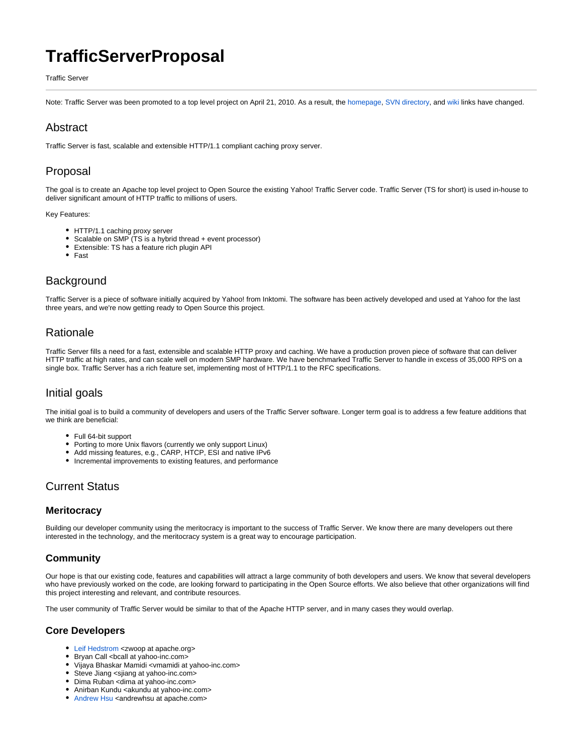# **TrafficServerProposal**

Traffic Server

Note: Traffic Server was been promoted to a top level project on April 21, 2010. As a result, the [homepage,](http://trafficserver.apache.org/) [SVN directory](https://svn.apache.org/repos/asf/trafficserver/), and [wiki](http://cwiki.apache.org/confluence/display/TS/Traffic+Server) links have changed.

## Abstract

Traffic Server is fast, scalable and extensible HTTP/1.1 compliant caching proxy server.

## Proposal

The goal is to create an Apache top level project to Open Source the existing Yahoo! Traffic Server code. Traffic Server (TS for short) is used in-house to deliver significant amount of HTTP traffic to millions of users.

Key Features:

- HTTP/1.1 caching proxy server
- Scalable on SMP (TS is a hybrid thread + event processor)
- Extensible: TS has a feature rich plugin API
- Fast

### **Background**

Traffic Server is a piece of software initially acquired by Yahoo! from Inktomi. The software has been actively developed and used at Yahoo for the last three years, and we're now getting ready to Open Source this project.

### **Rationale**

Traffic Server fills a need for a fast, extensible and scalable HTTP proxy and caching. We have a production proven piece of software that can deliver HTTP traffic at high rates, and can scale well on modern SMP hardware. We have benchmarked Traffic Server to handle in excess of 35,000 RPS on a single box. Traffic Server has a rich feature set, implementing most of HTTP/1.1 to the RFC specifications.

### Initial goals

The initial goal is to build a community of developers and users of the Traffic Server software. Longer term goal is to address a few feature additions that we think are beneficial:

- Full 64-bit support
- Porting to more Unix flavors (currently we only support Linux)
- Add missing features, e.g., CARP, HTCP, ESI and native IPv6  $\bullet$
- Incremental improvements to existing features, and performance

### Current Status

### **Meritocracy**

Building our developer community using the meritocracy is important to the success of Traffic Server. We know there are many developers out there interested in the technology, and the meritocracy system is a great way to encourage participation.

### **Community**

Our hope is that our existing code, features and capabilities will attract a large community of both developers and users. We know that several developers who have previously worked on the code, are looking forward to participating in the Open Source efforts. We also believe that other organizations will find this project interesting and relevant, and contribute resources.

The user community of Traffic Server would be similar to that of the Apache HTTP server, and in many cases they would overlap.

### **Core Developers**

- Leif Hedstrom <zwoop at apache.org>
- Bryan Call <bcall at yahoo-inc.com>
- Vijaya Bhaskar Mamidi <vmamidi at yahoo-inc.com>
- Steve Jiang <sjiang at yahoo-inc.com>
- Dima Ruban <dima at yahoo-inc.com>
- Anirban Kundu <akundu at yahoo-inc.com>
- Andrew Hsu <andrewhsu at apache.com>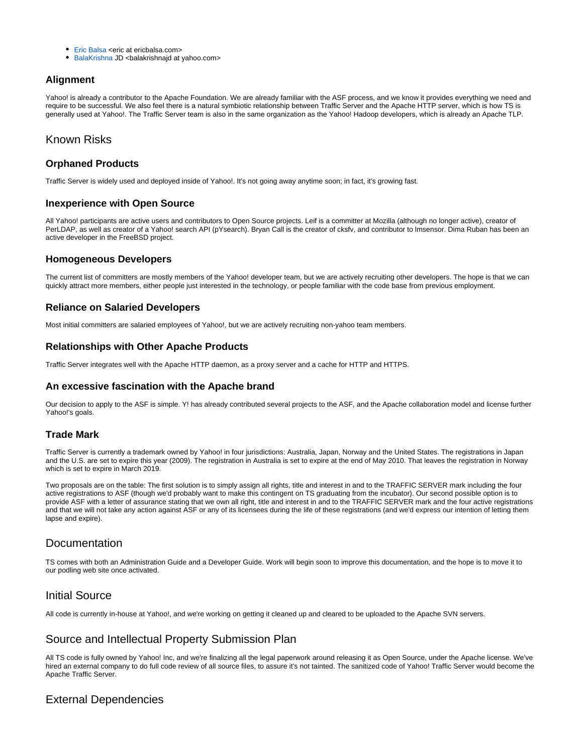- Eric Balsa <eric at ericbalsa.com>
- BalaKrishna JD <br/>balakrishnajd at yahoo.com>

#### **Alignment**

Yahoo! is already a contributor to the Apache Foundation. We are already familiar with the ASF process, and we know it provides everything we need and require to be successful. We also feel there is a natural symbiotic relationship between Traffic Server and the Apache HTTP server, which is how TS is generally used at Yahoo!. The Traffic Server team is also in the same organization as the Yahoo! Hadoop developers, which is already an Apache TLP.

### Known Risks

#### **Orphaned Products**

Traffic Server is widely used and deployed inside of Yahoo!. It's not going away anytime soon; in fact, it's growing fast.

#### **Inexperience with Open Source**

All Yahoo! participants are active users and contributors to Open Source projects. Leif is a committer at Mozilla (although no longer active), creator of PerLDAP, as well as creator of a Yahoo! search API (pYsearch). Bryan Call is the creator of cksfv, and contributor to lmsensor. Dima Ruban has been an active developer in the FreeBSD project.

#### **Homogeneous Developers**

The current list of committers are mostly members of the Yahoo! developer team, but we are actively recruiting other developers. The hope is that we can quickly attract more members, either people just interested in the technology, or people familiar with the code base from previous employment.

#### **Reliance on Salaried Developers**

Most initial committers are salaried employees of Yahoo!, but we are actively recruiting non-yahoo team members.

#### **Relationships with Other Apache Products**

Traffic Server integrates well with the Apache HTTP daemon, as a proxy server and a cache for HTTP and HTTPS.

#### **An excessive fascination with the Apache brand**

Our decision to apply to the ASF is simple. Y! has already contributed several projects to the ASF, and the Apache collaboration model and license further Yahoo!'s goals.

#### **Trade Mark**

Traffic Server is currently a trademark owned by Yahoo! in four jurisdictions: Australia, Japan, Norway and the United States. The registrations in Japan and the U.S. are set to expire this year (2009). The registration in Australia is set to expire at the end of May 2010. That leaves the registration in Norway which is set to expire in March 2019.

Two proposals are on the table: The first solution is to simply assign all rights, title and interest in and to the TRAFFIC SERVER mark including the four active registrations to ASF (though we'd probably want to make this contingent on TS graduating from the incubator). Our second possible option is to provide ASF with a letter of assurance stating that we own all right, title and interest in and to the TRAFFIC SERVER mark and the four active registrations and that we will not take any action against ASF or any of its licensees during the life of these registrations (and we'd express our intention of letting them lapse and expire).

### **Documentation**

TS comes with both an Administration Guide and a Developer Guide. Work will begin soon to improve this documentation, and the hope is to move it to our podling web site once activated.

### Initial Source

All code is currently in-house at Yahoo!, and we're working on getting it cleaned up and cleared to be uploaded to the Apache SVN servers.

### Source and Intellectual Property Submission Plan

All TS code is fully owned by Yahoo! Inc, and we're finalizing all the legal paperwork around releasing it as Open Source, under the Apache license. We've hired an external company to do full code review of all source files, to assure it's not tainted. The sanitized code of Yahoo! Traffic Server would become the Apache Traffic Server.

### External Dependencies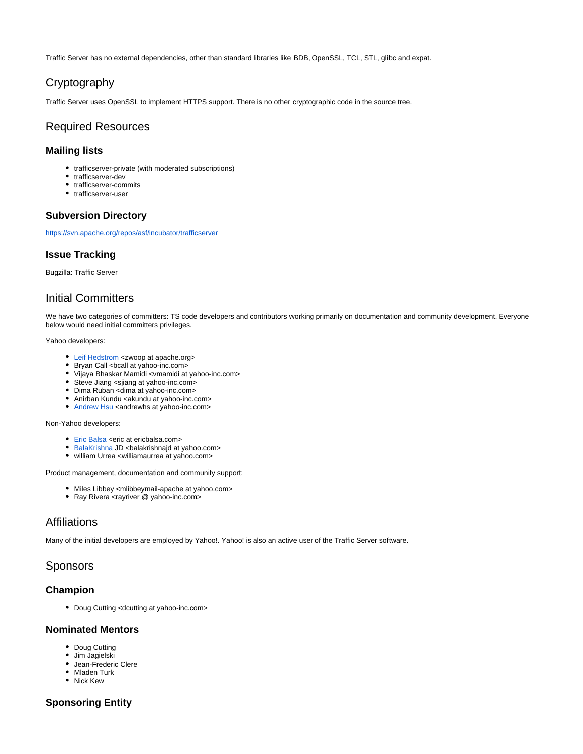Traffic Server has no external dependencies, other than standard libraries like BDB, OpenSSL, TCL, STL, glibc and expat.

## Cryptography

Traffic Server uses OpenSSL to implement HTTPS support. There is no other cryptographic code in the source tree.

#### Required Resources

#### **Mailing lists**

- trafficserver-private (with moderated subscriptions)
- trafficserver-dev
- trafficserver-commits
- trafficserver-user

#### **Subversion Directory**

<https://svn.apache.org/repos/asf/incubator/trafficserver>

#### **Issue Tracking**

Bugzilla: Traffic Server

### Initial Committers

We have two categories of committers: TS code developers and contributors working primarily on documentation and community development. Everyone below would need initial committers privileges.

#### Yahoo developers:

- Leif Hedstrom <zwoop at apache.org>
- Bryan Call <bcall at yahoo-inc.com>
- Vijaya Bhaskar Mamidi <vmamidi at yahoo-inc.com>
- Steve Jiang <sjiang at yahoo-inc.com>
- Dima Ruban <dima at yahoo-inc.com>
- Anirban Kundu <akundu at yahoo-inc.com>
- Andrew Hsu <andrewhs at yahoo-inc.com>

Non-Yahoo developers:

- Eric Balsa <eric at ericbalsa.com>
- BalaKrishna JD <br/>balakrishnajd at yahoo.com>
- william Urrea <williamaurrea at yahoo.com>

Product management, documentation and community support:

- Miles Libbey <mlibbeymail-apache at yahoo.com>
	- Ray Rivera <rayriver @ yahoo-inc.com>

### Affiliations

Many of the initial developers are employed by Yahoo!. Yahoo! is also an active user of the Traffic Server software.

### Sponsors

#### **Champion**

Doug Cutting <dcutting at yahoo-inc.com>

#### **Nominated Mentors**

- Doug Cutting
- Jim Jagielski
- Jean-Frederic Clere
- Mladen Turk
- Nick Kew

#### **Sponsoring Entity**